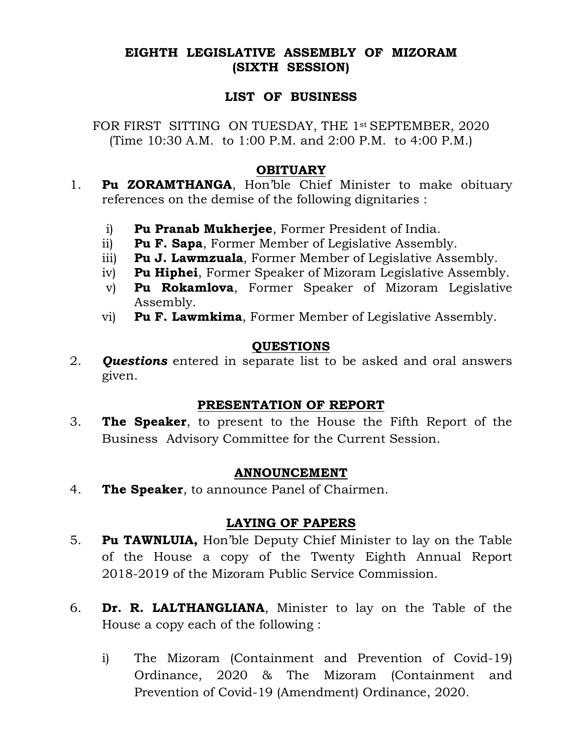### EIGHTH LEGISLATIVE ASSEMBLY OF MIZORAM (SIXTH SESSION)

#### LIST OF BUSINESS

FOR FIRST SITTING ON TUESDAY, THE 1<sup>st</sup> SEPTEMBER, 2020 (Time 10:30 A.M. to 1:00 P.M. and 2:00 P.M. to 4:00 P.M.)

#### **OBITUARY**

- 1. Pu ZORAMTHANGA, Hon'ble Chief Minister to make obituary references on the demise of the following dignitaries :
	- i) Pu Pranab Mukherjee, Former President of India.
	- ii) Pu F. Sapa, Former Member of Legislative Assembly.
	- iii) Pu J. Lawmzuala, Former Member of Legislative Assembly.
	- iv) Pu Hiphei, Former Speaker of Mizoram Legislative Assembly.
	- v) Pu Rokamlova, Former Speaker of Mizoram Legislative Assembly.
	- vi) Pu F. Lawmkima, Former Member of Legislative Assembly.

## QUESTIONS

2. **Questions** entered in separate list to be asked and oral answers given.

#### PRESENTATION OF REPORT

3. The Speaker, to present to the House the Fifth Report of the Business Advisory Committee for the Current Session.

#### ANNOUNCEMENT

4. The Speaker, to announce Panel of Chairmen.

#### LAYING OF PAPERS

- 5. Pu TAWNLUIA, Hon'ble Deputy Chief Minister to lay on the Table of the House a copy of the Twenty Eighth Annual Report 2018-2019 of the Mizoram Public Service Commission.
- 6. Dr. R. LALTHANGLIANA, Minister to lay on the Table of the House a copy each of the following :
	- i) The Mizoram (Containment and Prevention of Covid-19) Ordinance, 2020 & The Mizoram (Containment and Prevention of Covid-19 (Amendment) Ordinance, 2020.